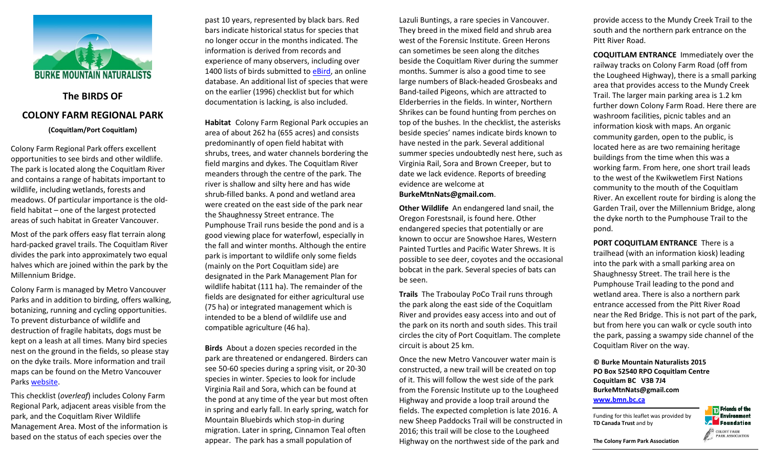

# **The BIRDS OF COLONY FARM REGIONAL PARK**

**(Coquitlam/Port Coquitlam)**

Colony Farm Regional Park offers excellent opportunities to see birds and other wildlife. The park is located along the Coquitlam River and contains a range of habitats important to wildlife, including wetlands, forests and meadows. Of particular importance is the oldfield habitat – one of the largest protected areas of such habitat in Greater Vancouver.

Most of the park offers easy flat terrain along hard-packed gravel trails. The Coquitlam River divides the park into approximately two equal halves which are joined within the park by the Millennium Bridge.

Colony Farm is managed by Metro Vancouver Parks and in addition to birding, offers walking, botanizing, running and cycling opportunities. To prevent disturbance of wildlife and destruction of fragile habitats, dogs must be kept on a leash at all times. Many bird species nest on the ground in the fields, so please stay on the dyke trails. More information and trail maps can be found on the Metro Vancouver Parks [website.](http://www.metrovancouver.org/services/parks/parks-greenways-reserves/colony-farm-regional-park)

This checklist (*overleaf*) includes Colony Farm Regional Park, adjacent areas visible from the park, and the Coquitlam River Wildlife Management Area. Most of the information is based on the status of each species over the

past 10 years, represented by black bars. Red bars indicate historical status for species that no longer occur in the months indicated. The information is derived from records and experience of many observers, including over 1400 lists of birds submitted to [eBird,](http://ebird.org/content/ebird/) an online database. An additional list of species that were on the earlier (1996) checklist but for which documentation is lacking, is also included.

**Habitat** Colony Farm Regional Park occupies an area of about 262 ha (655 acres) and consists predominantly of open field habitat with shrubs, trees, and water channels bordering the field margins and dykes. The Coquitlam River meanders through the centre of the park. The river is shallow and silty here and has wide shrub-filled banks. A pond and wetland area were created on the east side of the park near the Shaughnessy Street entrance. The Pumphouse Trail runs beside the pond and is a good viewing place for waterfowl, especially in the fall and winter months. Although the entire park is important to wildlife only some fields (mainly on the Port Coquitlam side) are designated in the Park Management Plan for wildlife habitat (111 ha). The remainder of the fields are designated for either agricultural use (75 ha) or integrated management which is intended to be a blend of wildlife use and compatible agriculture (46 ha).

**Birds** About a dozen species recorded in the park are threatened or endangered. Birders can see 50-60 species during a spring visit, or 20-30 species in winter. Species to look for include Virginia Rail and Sora, which can be found at the pond at any time of the year but most often in spring and early fall. In early spring, watch for Mountain Bluebirds which stop-in during migration. Later in spring, Cinnamon Teal often appear. The park has a small population of

Lazuli Buntings, a rare species in Vancouver. They breed in the mixed field and shrub area west of the Forensic Institute. Green Herons can sometimes be seen along the ditches beside the Coquitlam River during the summer months. Summer is also a good time to see large numbers of Black-headed Grosbeaks and Band-tailed Pigeons, which are attracted to Elderberries in the fields. In winter, Northern Shrikes can be found hunting from perches on top of the bushes. In the checklist, the asterisks beside species' names indicate birds known to have nested in the park. Several additional summer species undoubtedly nest here, such as Virginia Rail, Sora and Brown Creeper, but to date we lack evidence. Reports of breeding evidence are welcome at **BurkeMtnNats@gmail.com**.

**Other Wildlife** An endangered land snail, the Oregon Forestsnail, is found here. Other endangered species that potentially or are known to occur are Snowshoe Hares, Western Painted Turtles and Pacific Water Shrews. It is possible to see deer, coyotes and the occasional bobcat in the park. Several species of bats can be seen.

**Trails** The Traboulay PoCo Trail runs through the park along the east side of the Coquitlam River and provides easy access into and out of the park on its north and south sides. This trail circles the city of Port Coquitlam. The complete circuit is about 25 km.

Once the new Metro Vancouver water main is constructed, a new trail will be created on top of it. This will follow the west side of the park from the Forensic Institute up to the Lougheed Highway and provide a loop trail around the fields. The expected completion is late 2016. A new Sheep Paddocks Trail will be constructed in 2016; this trail will be close to the Lougheed Highway on the northwest side of the park and

provide access to the Mundy Creek Trail to the south and the northern park entrance on the Pitt River Road.

**COQUITLAM ENTRANCE** Immediately over the railway tracks on Colony Farm Road (off from the Lougheed Highway), there is a small parking area that provides access to the Mundy Creek Trail. The larger main parking area is 1.2 km further down Colony Farm Road. Here there are washroom facilities, picnic tables and an information kiosk with maps. An organic community garden, open to the public, is located here as are two remaining heritage buildings from the time when this was a working farm. From here, one short trail leads to the west of the Kwikwetlem First Nations community to the mouth of the Coquitlam River. An excellent route for birding is along the Garden Trail, over the Millennium Bridge, along the dyke north to the Pumphouse Trail to the pond.

**PORT COQUITLAM ENTRANCE** There is a trailhead (with an information kiosk) leading into the park with a small parking area on Shaughnessy Street. The trail here is the Pumphouse Trail leading to the pond and wetland area. There is also a northern park entrance accessed from the Pitt River Road near the Red Bridge. This is not part of the park, but from here you can walk or cycle south into the park, passing a swampy side channel of the Coquitlam River on the way.

### **© Burke Mountain Naturalists 2015 PO Box 52540 RPO Coquitlam Centre Coquitlam BC V3B 7J4 BurkeMtnNats@gmail.com [www.bmn.bc.ca](http://www.bmn.bc.ca/)**

Funding for this leaflet was provided by **TD Canada Trust** and by



**PARK ASSOCIATION**